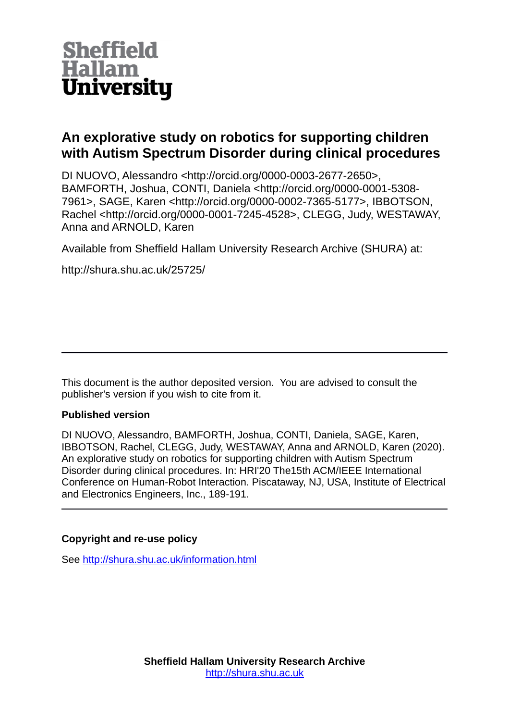

# **An explorative study on robotics for supporting children with Autism Spectrum Disorder during clinical procedures**

DI NUOVO, Alessandro <http://orcid.org/0000-0003-2677-2650>, BAMFORTH, Joshua, CONTI, Daniela <http://orcid.org/0000-0001-5308- 7961>, SAGE, Karen <http://orcid.org/0000-0002-7365-5177>, IBBOTSON, Rachel <http://orcid.org/0000-0001-7245-4528>, CLEGG, Judy, WESTAWAY, Anna and ARNOLD, Karen

Available from Sheffield Hallam University Research Archive (SHURA) at:

http://shura.shu.ac.uk/25725/

This document is the author deposited version. You are advised to consult the publisher's version if you wish to cite from it.

# **Published version**

DI NUOVO, Alessandro, BAMFORTH, Joshua, CONTI, Daniela, SAGE, Karen, IBBOTSON, Rachel, CLEGG, Judy, WESTAWAY, Anna and ARNOLD, Karen (2020). An explorative study on robotics for supporting children with Autism Spectrum Disorder during clinical procedures. In: HRI'20 The15th ACM/IEEE International Conference on Human-Robot Interaction. Piscataway, NJ, USA, Institute of Electrical and Electronics Engineers, Inc., 189-191.

# **Copyright and re-use policy**

See<http://shura.shu.ac.uk/information.html>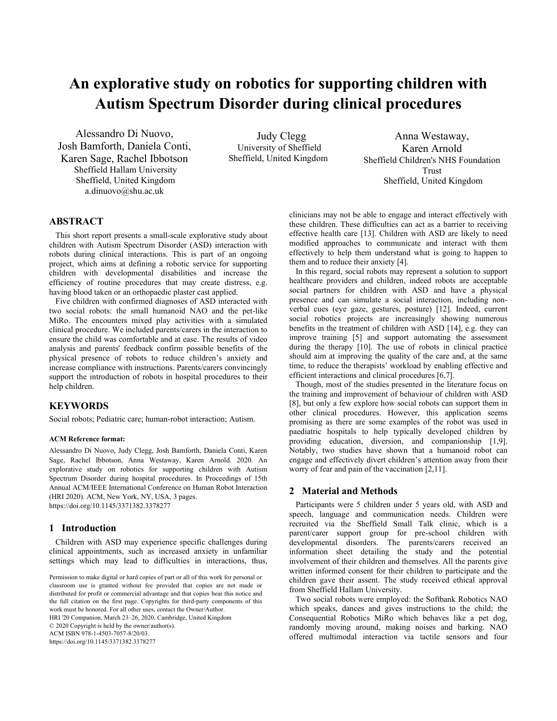# **An explorative study on robotics for supporting children with Autism Spectrum Disorder during clinical procedures**

Alessandro Di Nuovo, Josh Bamforth, Daniela Conti, Karen Sage, Rachel Ibbotson Sheffield Hallam University Sheffield, United Kingdom a.dinuovo@shu.ac.uk

Judy Clegg University of Sheffield Sheffield, United Kingdom

Anna Westaway, Karen Arnold Sheffield Children's NHS Foundation Trust Sheffield, United Kingdom

# **ABSTRACT**

This short report presents a small-scale explorative study about children with Autism Spectrum Disorder (ASD) interaction with robots during clinical interactions. This is part of an ongoing project, which aims at defining a robotic service for supporting children with developmental disabilities and increase the efficiency of routine procedures that may create distress, e.g. having blood taken or an orthopaedic plaster cast applied.

Five children with confirmed diagnoses of ASD interacted with two social robots: the small humanoid NAO and the pet-like MiRo. The encounters mixed play activities with a simulated clinical procedure. We included parents/carers in the interaction to ensure the child was comfortable and at ease. The results of video analysis and parents' feedback confirm possible benefits of the physical presence of robots to reduce children's anxiety and increase compliance with instructions. Parents/carers convincingly support the introduction of robots in hospital procedures to their help children.

# **KEYWORDS**

Social robots; Pediatric care; human-robot interaction; Autism.

#### **ACM Reference format:**

Alessandro Di Nuovo, Judy Clegg, Josh Bamforth, Daniela Conti, Karen Sage, Rachel Ibbotson, Anna Westaway, Karen Arnold. 2020. An explorative study on robotics for supporting children with Autism Spectrum Disorder during hospital procedures. In Proceedings of 15th Annual ACM/IEEE International Conference on Human Robot Interaction (HRI 2020). ACM, New York, NY, USA, 3 pages. https://doi.org/10.1145/3371382.3378277

### **1 Introduction**

Children with ASD may experience specific challenges during clinical appointments, such as increased anxiety in unfamiliar settings which may lead to difficulties in interactions, thus,

Permission to make digital or hard copies of part or all of this work for personal or classroom use is granted without fee provided that copies are not made or distributed for profit or commercial advantage and that copies bear this notice and the full citation on the first page. Copyrights for third-party components of this work must be honored. For all other uses, contact the Owner/Author. HRI '20 Companion, March 23–26, 2020, Cambridge, United Kingdom © 2020 Copyright is held by the owner/author(s). ACM ISBN 978-1-4503-7057-8/20/03.

https://doi.org/10.1145/3371382.3378277

clinicians may not be able to engage and interact effectively with these children. These difficulties can act as a barrier to receiving effective health care [13]. Children with ASD are likely to need modified approaches to communicate and interact with them effectively to help them understand what is going to happen to them and to reduce their anxiety [4].

In this regard, social robots may represent a solution to support healthcare providers and children, indeed robots are acceptable social partners for children with ASD and have a physical presence and can simulate a social interaction, including nonverbal cues (eye gaze, gestures, posture) [12]. Indeed, current social robotics projects are increasingly showing numerous benefits in the treatment of children with ASD [14], e.g. they can improve training [5] and support automating the assessment during the therapy [10]. The use of robots in clinical practice should aim at improving the quality of the care and, at the same time, to reduce the therapists' workload by enabling effective and efficient interactions and clinical procedures [6,7].

Though, most of the studies presented in the literature focus on the training and improvement of behaviour of children with ASD [8], but only a few explore how social robots can support them in other clinical procedures. However, this application seems promising as there are some examples of the robot was used in paediatric hospitals to help typically developed children by providing education, diversion, and companionship [1,9]. Notably, two studies have shown that a humanoid robot can engage and effectively divert children's attention away from their worry of fear and pain of the vaccination [2,11].

# **2 Material and Methods**

Participants were 5 children under 5 years old, with ASD and speech, language and communication needs. Children were recruited via the Sheffield Small Talk clinic, which is a parent/carer support group for pre-school children with developmental disorders. The parents/carers received an information sheet detailing the study and the potential involvement of their children and themselves. All the parents give written informed consent for their children to participate and the children gave their assent. The study received ethical approval from Sheffield Hallam University.

Two social robots were employed: the Softbank Robotics NAO which speaks, dances and gives instructions to the child; the Consequential Robotics MiRo which behaves like a pet dog, randomly moving around, making noises and barking. NAO offered multimodal interaction via tactile sensors and four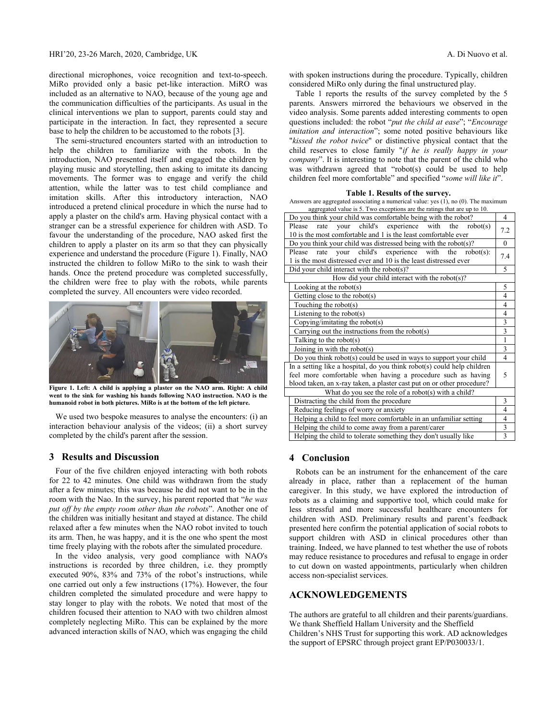directional microphones, voice recognition and text-to-speech. MiRo provided only a basic pet-like interaction. MiRO was included as an alternative to NAO, because of the young age and the communication difficulties of the participants. As usual in the clinical interventions we plan to support, parents could stay and participate in the interaction. In fact, they represented a secure base to help the children to be accustomed to the robots [3].

The semi-structured encounters started with an introduction to help the children to familiarize with the robots. In the introduction, NAO presented itself and engaged the children by playing music and storytelling, then asking to imitate its dancing movements. The former was to engage and verify the child attention, while the latter was to test child compliance and imitation skills. After this introductory interaction, NAO introduced a pretend clinical procedure in which the nurse had to apply a plaster on the child's arm. Having physical contact with a stranger can be a stressful experience for children with ASD. To favour the understanding of the procedure, NAO asked first the children to apply a plaster on its arm so that they can physically experience and understand the procedure (Figure 1). Finally, NAO instructed the children to follow MiRo to the sink to wash their hands. Once the pretend procedure was completed successfully, the children were free to play with the robots, while parents completed the survey. All encounters were video recorded.



**Figure 1. Left: A child is applying a plaster on the NAO arm. Right: A child went to the sink for washing his hands following NAO instruction. NAO is the humanoid robot in both pictures. MiRo is at the bottom of the left picture.** 

We used two bespoke measures to analyse the encounters: (i) an interaction behaviour analysis of the videos; (ii) a short survey completed by the child's parent after the session.

### **3 Results and Discussion**

Four of the five children enjoyed interacting with both robots for 22 to 42 minutes. One child was withdrawn from the study after a few minutes; this was because he did not want to be in the room with the Nao. In the survey, his parent reported that "*he was put off by the empty room other than the robots*". Another one of the children was initially hesitant and stayed at distance. The child relaxed after a few minutes when the NAO robot invited to touch its arm. Then, he was happy, and it is the one who spent the most time freely playing with the robots after the simulated procedure.

In the video analysis, very good compliance with NAO's instructions is recorded by three children, i.e. they promptly executed 90%, 83% and 73% of the robot's instructions, while one carried out only a few instructions (17%). However, the four children completed the simulated procedure and were happy to stay longer to play with the robots. We noted that most of the children focused their attention to NAO with two children almost completely neglecting MiRo. This can be explained by the more advanced interaction skills of NAO, which was engaging the child with spoken instructions during the procedure. Typically, children considered MiRo only during the final unstructured play.

Table 1 reports the results of the survey completed by the 5 parents. Answers mirrored the behaviours we observed in the video analysis. Some parents added interesting comments to open questions included: the robot "*put the child at ease*"; "*Encourage imitation and interaction*"; some noted positive behaviours like "*kissed the robot twice*" or distinctive physical contact that the child reserves to close family "*if he is really happy in your company*". It is interesting to note that the parent of the child who was withdrawn agreed that "robot(s) could be used to help children feel more comfortable" and specified "*some will like it*".

#### **Table 1. Results of the survey.**

Answers are aggregated associating a numerical value: yes (1), no (0). The maximum aggregated value is 5. Two exceptions are the ratings that are up to 10.

| 4                                                    |          |
|------------------------------------------------------|----------|
| 7.2                                                  |          |
|                                                      | $\theta$ |
| 7.4                                                  |          |
|                                                      |          |
| 5                                                    |          |
| How did your child interact with the robot $(s)$ ?   |          |
| 5                                                    |          |
| 4                                                    |          |
| 4                                                    |          |
| 4                                                    |          |
| 3                                                    |          |
| 3                                                    |          |
| 1                                                    |          |
| 3                                                    |          |
| 4                                                    |          |
|                                                      |          |
| 5                                                    |          |
|                                                      |          |
| What do you see the role of a robot(s) with a child? |          |
| 3                                                    |          |
| 4                                                    |          |
| 4                                                    |          |
| 3                                                    |          |
| 3                                                    |          |
|                                                      |          |

# **4 Conclusion**

Robots can be an instrument for the enhancement of the care already in place, rather than a replacement of the human caregiver. In this study, we have explored the introduction of robots as a claiming and supportive tool, which could make for less stressful and more successful healthcare encounters for children with ASD. Preliminary results and parent's feedback presented here confirm the potential application of social robots to support children with ASD in clinical procedures other than training. Indeed, we have planned to test whether the use of robots may reduce resistance to procedures and refusal to engage in order to cut down on wasted appointments, particularly when children access non-specialist services.

# **ACKNOWLEDGEMENTS**

The authors are grateful to all children and their parents/guardians. We thank Sheffield Hallam University and the Sheffield Children's NHS Trust for supporting this work. AD acknowledges the support of EPSRC through project grant EP/P030033/1.